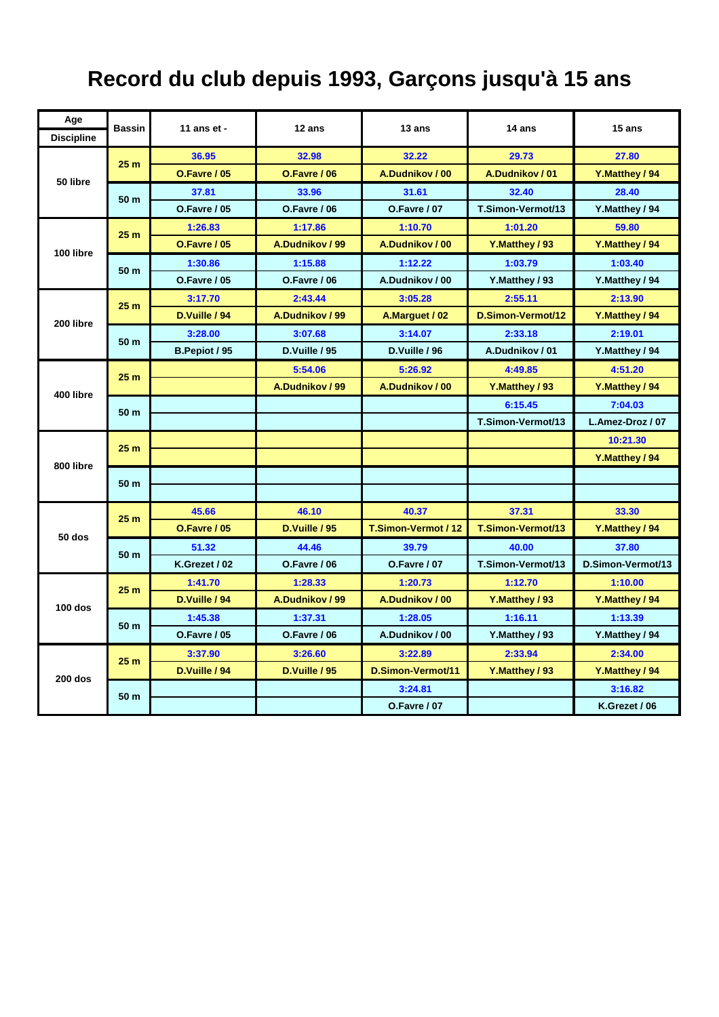## **Record du club depuis 1993, Garçons jusqu'à 15 ans**

| Age               | <b>Bassin</b>   | 11 ans et -         | $12$ ans        | $13$ ans            | 14 ans            | 15 ans            |
|-------------------|-----------------|---------------------|-----------------|---------------------|-------------------|-------------------|
| <b>Discipline</b> |                 |                     |                 |                     |                   |                   |
| 50 libre          | 25 <sub>m</sub> | 36.95               | 32.98           | 32.22               | 29.73             | 27.80             |
|                   |                 | <b>O.Favre / 05</b> | O.Favre / 06    | A.Dudnikov / 00     | A.Dudnikov / 01   | Y.Matthey / 94    |
|                   | 50 m            | 37.81               | 33.96           | 31.61               | 32.40             | 28.40             |
|                   |                 | O.Favre / 05        | O.Favre / 06    | <b>O.Favre / 07</b> | T.Simon-Vermot/13 | Y.Matthey / 94    |
| 100 libre         | 25 <sub>m</sub> | 1:26.83             | 1:17.86         | 1:10.70             | 1:01.20           | 59.80             |
|                   |                 | O.Favre / 05        | A.Dudnikov / 99 | A.Dudnikov / 00     | Y.Matthey / 93    | Y.Matthey / 94    |
|                   | 50 m            | 1:30.86             | 1:15.88         | 1:12.22             | 1:03.79           | 1:03.40           |
|                   |                 | <b>O.Favre / 05</b> | O.Favre / 06    | A.Dudnikov / 00     | Y.Matthey / 93    | Y.Matthey / 94    |
| 200 libre         | 25 <sub>m</sub> | 3:17.70             | 2:43.44         | 3:05.28             | 2:55.11           | 2:13.90           |
|                   |                 | D.Vuille / 94       | A.Dudnikov / 99 | A.Marquet / 02      | D.Simon-Vermot/12 | Y.Matthey / 94    |
|                   | 50 m            | 3:28.00             | 3:07.68         | 3:14.07             | 2:33.18           | 2:19.01           |
|                   |                 | B.Pepiot / 95       | D.Vuille / 95   | D.Vuille / 96       | A.Dudnikov / 01   | Y.Matthey / 94    |
| 400 libre         | 25 <sub>m</sub> |                     | 5:54.06         | 5:26.92             | 4:49.85           | 4:51.20           |
|                   |                 |                     | A.Dudnikov / 99 | A.Dudnikov / 00     | Y.Matthey / 93    | Y.Matthey / 94    |
|                   | 50 m            |                     |                 |                     | 6:15.45           | 7:04.03           |
|                   |                 |                     |                 |                     | T.Simon-Vermot/13 | L.Amez-Droz / 07  |
|                   | 25 <sub>m</sub> |                     |                 |                     |                   | 10:21.30          |
| 800 libre         |                 |                     |                 |                     |                   | Y.Matthey / 94    |
|                   | 50 m            |                     |                 |                     |                   |                   |
|                   |                 |                     |                 |                     |                   |                   |
| <b>50 dos</b>     | 25 <sub>m</sub> | 45.66               | 46.10           | 40.37               | 37.31             | 33.30             |
|                   |                 | <b>O.Favre / 05</b> | D.Vuille / 95   | T.Simon-Vermot / 12 | T.Simon-Vermot/13 | Y.Matthey / 94    |
|                   | 50 m            | 51.32               | 44.46           | 39.79               | 40.00             | 37.80             |
|                   |                 | K.Grezet / 02       | O.Favre / 06    | <b>O.Favre / 07</b> | T.Simon-Vermot/13 | D.Simon-Vermot/13 |
| $100$ dos         | 25 <sub>m</sub> | 1:41.70             | 1:28.33         | 1:20.73             | 1:12.70           | 1:10.00           |
|                   |                 | D.Vuille / 94       | A.Dudnikov / 99 | A.Dudnikov / 00     | Y.Matthey / 93    | Y.Matthey / 94    |
|                   | 50 m            | 1:45.38             | 1:37.31         | 1:28.05             | 1:16.11           | 1:13.39           |
|                   |                 | <b>O.Favre / 05</b> | O.Favre / 06    | A.Dudnikov / 00     | Y.Matthey / 93    | Y.Matthey / 94    |
| $200$ dos         | 25 <sub>m</sub> | 3:37.90             | 3:26.60         | 3:22.89             | 2:33.94           | 2:34.00           |
|                   |                 | D.Vuille / 94       | D.Vuille / 95   | D.Simon-Vermot/11   | Y.Matthey / 93    | Y.Matthey / 94    |
|                   | 50 m            |                     |                 | 3:24.81             |                   | 3:16.82           |
|                   |                 |                     |                 | O.Favre / 07        |                   | K.Grezet / 06     |